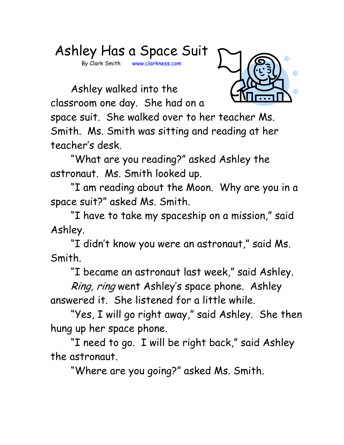## Ashley Has a Space Suit

By Clark Smith www.clarkness.com

 Ashley walked into the classroom one day. She had on a



space suit. She walked over to her teacher Ms. Smith. Ms. Smith was sitting and reading at her teacher's desk.

 "What are you reading?" asked Ashley the astronaut. Ms. Smith looked up.

 "I am reading about the Moon. Why are you in a space suit?" asked Ms. Smith.

 "I have to take my spaceship on a mission," said Ashley.

 "I didn't know you were an astronaut," said Ms. Smith.

"I became an astronaut last week," said Ashley.

Ring, ring went Ashley's space phone. Ashley answered it. She listened for a little while.

 "Yes, I will go right away," said Ashley. She then hung up her space phone.

 "I need to go. I will be right back," said Ashley the astronaut.

"Where are you going?" asked Ms. Smith.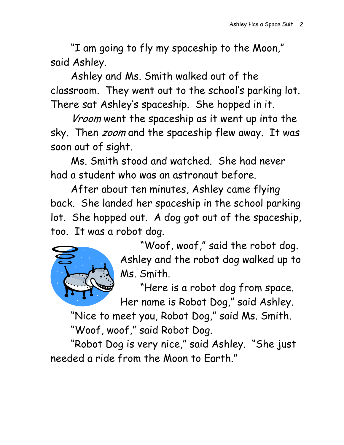"I am going to fly my spaceship to the Moon," said Ashley.

 Ashley and Ms. Smith walked out of the classroom. They went out to the school's parking lot. There sat Ashley's spaceship. She hopped in it.

Vroom went the spaceship as it went up into the sky. Then *zoom* and the spaceship flew away. It was soon out of sight.

 Ms. Smith stood and watched. She had never had a student who was an astronaut before.

 After about ten minutes, Ashley came flying back. She landed her spaceship in the school parking lot. She hopped out. A dog got out of the spaceship, too. It was a robot dog.



 "Woof, woof," said the robot dog. Ashley and the robot dog walked up to Ms. Smith.

 "Here is a robot dog from space. Her name is Robot Dog," said Ashley.

 "Nice to meet you, Robot Dog," said Ms. Smith. "Woof, woof," said Robot Dog.

 "Robot Dog is very nice," said Ashley. "She just needed a ride from the Moon to Earth."